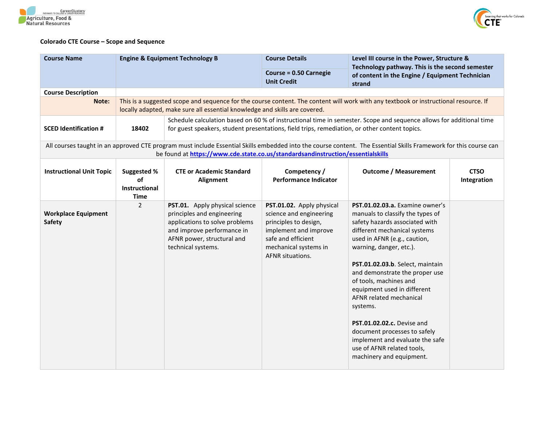



## **Colorado CTE Course – Scope and Sequence**

| <b>Course Name</b>                          |                                                                                                                                                                                                                               | <b>Engine &amp; Equipment Technology B</b>                                                                                                                                       | <b>Course Details</b>                                                                                                                                                            | Level III course in the Power, Structure &                                                                                                                                                                                                                                                                                                                                                                                                                                                                                        |                            |  |
|---------------------------------------------|-------------------------------------------------------------------------------------------------------------------------------------------------------------------------------------------------------------------------------|----------------------------------------------------------------------------------------------------------------------------------------------------------------------------------|----------------------------------------------------------------------------------------------------------------------------------------------------------------------------------|-----------------------------------------------------------------------------------------------------------------------------------------------------------------------------------------------------------------------------------------------------------------------------------------------------------------------------------------------------------------------------------------------------------------------------------------------------------------------------------------------------------------------------------|----------------------------|--|
|                                             |                                                                                                                                                                                                                               |                                                                                                                                                                                  | Course = 0.50 Carnegie<br><b>Unit Credit</b>                                                                                                                                     | Technology pathway. This is the second semester<br>of content in the Engine / Equipment Technician<br>strand                                                                                                                                                                                                                                                                                                                                                                                                                      |                            |  |
| <b>Course Description</b>                   |                                                                                                                                                                                                                               |                                                                                                                                                                                  |                                                                                                                                                                                  |                                                                                                                                                                                                                                                                                                                                                                                                                                                                                                                                   |                            |  |
| Note:                                       |                                                                                                                                                                                                                               | locally adapted, make sure all essential knowledge and skills are covered.                                                                                                       |                                                                                                                                                                                  | This is a suggested scope and sequence for the course content. The content will work with any textbook or instructional resource. If                                                                                                                                                                                                                                                                                                                                                                                              |                            |  |
| <b>SCED Identification #</b>                | Schedule calculation based on 60 % of instructional time in semester. Scope and sequence allows for additional time<br>for guest speakers, student presentations, field trips, remediation, or other content topics.<br>18402 |                                                                                                                                                                                  |                                                                                                                                                                                  |                                                                                                                                                                                                                                                                                                                                                                                                                                                                                                                                   |                            |  |
|                                             |                                                                                                                                                                                                                               |                                                                                                                                                                                  |                                                                                                                                                                                  | All courses taught in an approved CTE program must include Essential Skills embedded into the course content. The Essential Skills Framework for this course can                                                                                                                                                                                                                                                                                                                                                                  |                            |  |
|                                             |                                                                                                                                                                                                                               | be found at https://www.cde.state.co.us/standardsandinstruction/essentialskills                                                                                                  |                                                                                                                                                                                  |                                                                                                                                                                                                                                                                                                                                                                                                                                                                                                                                   |                            |  |
| <b>Instructional Unit Topic</b>             | Suggested %<br>of                                                                                                                                                                                                             | <b>CTE or Academic Standard</b><br>Alignment                                                                                                                                     | Competency /<br><b>Performance Indicator</b>                                                                                                                                     | <b>Outcome / Measurement</b>                                                                                                                                                                                                                                                                                                                                                                                                                                                                                                      | <b>CTSO</b><br>Integration |  |
|                                             | Instructional<br><b>Time</b>                                                                                                                                                                                                  |                                                                                                                                                                                  |                                                                                                                                                                                  |                                                                                                                                                                                                                                                                                                                                                                                                                                                                                                                                   |                            |  |
| <b>Workplace Equipment</b><br><b>Safety</b> | $\overline{2}$                                                                                                                                                                                                                | PST.01. Apply physical science<br>principles and engineering<br>applications to solve problems<br>and improve performance in<br>AFNR power, structural and<br>technical systems. | PST.01.02. Apply physical<br>science and engineering<br>principles to design,<br>implement and improve<br>safe and efficient<br>mechanical systems in<br><b>AFNR</b> situations. | PST.01.02.03.a. Examine owner's<br>manuals to classify the types of<br>safety hazards associated with<br>different mechanical systems<br>used in AFNR (e.g., caution,<br>warning, danger, etc.).<br>PST.01.02.03.b. Select, maintain<br>and demonstrate the proper use<br>of tools, machines and<br>equipment used in different<br>AFNR related mechanical<br>systems.<br>PST.01.02.02.c. Devise and<br>document processes to safely<br>implement and evaluate the safe<br>use of AFNR related tools,<br>machinery and equipment. |                            |  |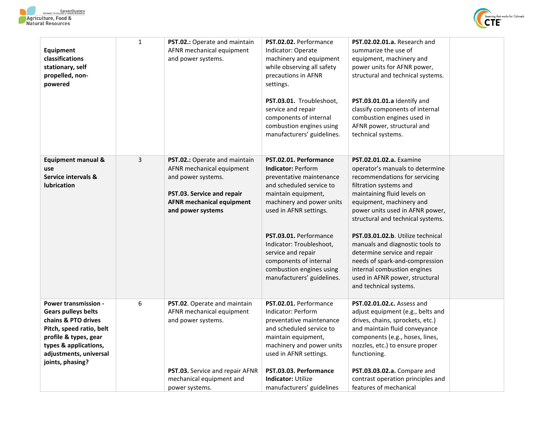



| Equipment<br>classifications<br>stationary, self<br>propelled, non-<br>powered                                                                                                                               | $\mathbf{1}$   | PST.02.: Operate and maintain<br>AFNR mechanical equipment<br>and power systems.                                                                                        | PST.02.02. Performance<br>Indicator: Operate<br>machinery and equipment<br>while observing all safety<br>precautions in AFNR<br>settings.<br>PST.03.01. Troubleshoot,<br>service and repair<br>components of internal<br>combustion engines using<br>manufacturers' guidelines.                                                                           | PST.02.02.01.a. Research and<br>summarize the use of<br>equipment, machinery and<br>power units for AFNR power,<br>structural and technical systems.<br>PST.03.01.01.a Identify and<br>classify components of internal<br>combustion engines used in<br>AFNR power, structural and<br>technical systems.                                                                                                                                                                                             |
|--------------------------------------------------------------------------------------------------------------------------------------------------------------------------------------------------------------|----------------|-------------------------------------------------------------------------------------------------------------------------------------------------------------------------|-----------------------------------------------------------------------------------------------------------------------------------------------------------------------------------------------------------------------------------------------------------------------------------------------------------------------------------------------------------|------------------------------------------------------------------------------------------------------------------------------------------------------------------------------------------------------------------------------------------------------------------------------------------------------------------------------------------------------------------------------------------------------------------------------------------------------------------------------------------------------|
| <b>Equipment manual &amp;</b><br>use<br>Service intervals &<br><b>lubrication</b>                                                                                                                            | $\overline{3}$ | PST.02.: Operate and maintain<br>AFNR mechanical equipment<br>and power systems.<br>PST.03. Service and repair<br><b>AFNR mechanical equipment</b><br>and power systems | PST.02.01. Performance<br><b>Indicator: Perform</b><br>preventative maintenance<br>and scheduled service to<br>maintain equipment,<br>machinery and power units<br>used in AFNR settings.<br>PST.03.01. Performance<br>Indicator: Troubleshoot,<br>service and repair<br>components of internal<br>combustion engines using<br>manufacturers' guidelines. | <b>PST.02.01.02.a.</b> Examine<br>operator's manuals to determine<br>recommendations for servicing<br>filtration systems and<br>maintaining fluid levels on<br>equipment, machinery and<br>power units used in AFNR power,<br>structural and technical systems.<br>PST.03.01.02.b. Utilize technical<br>manuals and diagnostic tools to<br>determine service and repair<br>needs of spark-and-compression<br>internal combustion engines<br>used in AFNR power, structural<br>and technical systems. |
| <b>Power transmission -</b><br><b>Gears pulleys belts</b><br>chains & PTO drives<br>Pitch, speed ratio, belt<br>profile & types, gear<br>types & applications,<br>adjustments, universal<br>joints, phasing? | 6              | PST.02. Operate and maintain<br>AFNR mechanical equipment<br>and power systems.<br>PST.03. Service and repair AFNR<br>mechanical equipment and<br>power systems.        | PST.02.01. Performance<br>Indicator: Perform<br>preventative maintenance<br>and scheduled service to<br>maintain equipment,<br>machinery and power units<br>used in AFNR settings.<br>PST.03.03. Performance<br><b>Indicator: Utilize</b><br>manufacturers' guidelines                                                                                    | <b>PST.02.01.02.c.</b> Assess and<br>adjust equipment (e.g., belts and<br>drives, chains, sprockets, etc.)<br>and maintain fluid conveyance<br>components (e.g., hoses, lines,<br>nozzles, etc.) to ensure proper<br>functioning.<br>PST.03.03.02.a. Compare and<br>contrast operation principles and<br>features of mechanical                                                                                                                                                                      |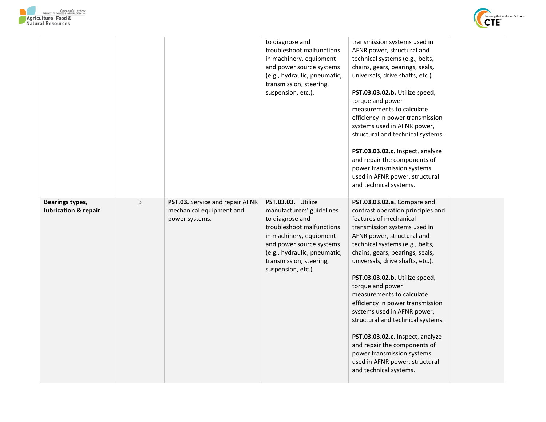



|                                         |   |                                                                               | to diagnose and<br>troubleshoot malfunctions<br>in machinery, equipment<br>and power source systems<br>(e.g., hydraulic, pneumatic,<br>transmission, steering,<br>suspension, etc.).                                                    | transmission systems used in<br>AFNR power, structural and<br>technical systems (e.g., belts,<br>chains, gears, bearings, seals,<br>universals, drive shafts, etc.).<br>PST.03.03.02.b. Utilize speed,<br>torque and power<br>measurements to calculate<br>efficiency in power transmission<br>systems used in AFNR power,<br>structural and technical systems.<br>PST.03.03.02.c. Inspect, analyze<br>and repair the components of<br>power transmission systems<br>used in AFNR power, structural<br>and technical systems.                                                                                               |  |
|-----------------------------------------|---|-------------------------------------------------------------------------------|-----------------------------------------------------------------------------------------------------------------------------------------------------------------------------------------------------------------------------------------|-----------------------------------------------------------------------------------------------------------------------------------------------------------------------------------------------------------------------------------------------------------------------------------------------------------------------------------------------------------------------------------------------------------------------------------------------------------------------------------------------------------------------------------------------------------------------------------------------------------------------------|--|
| Bearings types,<br>lubrication & repair | 3 | PST.03. Service and repair AFNR<br>mechanical equipment and<br>power systems. | PST.03.03. Utilize<br>manufacturers' guidelines<br>to diagnose and<br>troubleshoot malfunctions<br>in machinery, equipment<br>and power source systems<br>(e.g., hydraulic, pneumatic,<br>transmission, steering,<br>suspension, etc.). | PST.03.03.02.a. Compare and<br>contrast operation principles and<br>features of mechanical<br>transmission systems used in<br>AFNR power, structural and<br>technical systems (e.g., belts,<br>chains, gears, bearings, seals,<br>universals, drive shafts, etc.).<br>PST.03.03.02.b. Utilize speed,<br>torque and power<br>measurements to calculate<br>efficiency in power transmission<br>systems used in AFNR power,<br>structural and technical systems.<br>PST.03.03.02.c. Inspect, analyze<br>and repair the components of<br>power transmission systems<br>used in AFNR power, structural<br>and technical systems. |  |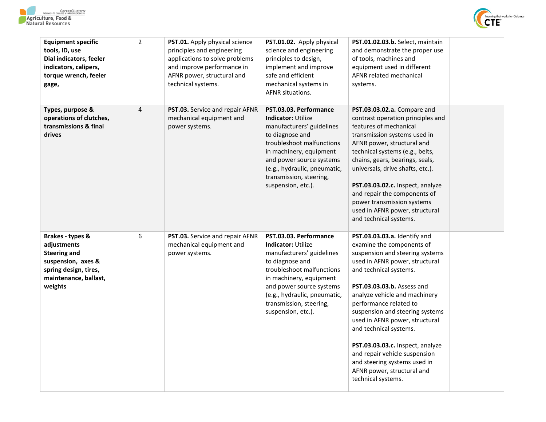



| <b>Equipment specific</b><br>tools, ID, use<br>Dial indicators, feeler<br>indicators, calipers,<br>torque wrench, feeler<br>gage,         | $\overline{2}$ | <b>PST.01.</b> Apply physical science<br>principles and engineering<br>applications to solve problems<br>and improve performance in<br>AFNR power, structural and<br>technical systems. | PST.01.02. Apply physical<br>science and engineering<br>principles to design,<br>implement and improve<br>safe and efficient<br>mechanical systems in<br>AFNR situations.                                                                                                | PST.01.02.03.b. Select, maintain<br>and demonstrate the proper use<br>of tools, machines and<br>equipment used in different<br>AFNR related mechanical<br>systems.                                                                                                                                                                                                                                                                                                                                               |  |
|-------------------------------------------------------------------------------------------------------------------------------------------|----------------|-----------------------------------------------------------------------------------------------------------------------------------------------------------------------------------------|--------------------------------------------------------------------------------------------------------------------------------------------------------------------------------------------------------------------------------------------------------------------------|------------------------------------------------------------------------------------------------------------------------------------------------------------------------------------------------------------------------------------------------------------------------------------------------------------------------------------------------------------------------------------------------------------------------------------------------------------------------------------------------------------------|--|
| Types, purpose &<br>operations of clutches,<br>transmissions & final<br>drives                                                            | 4              | <b>PST.03.</b> Service and repair AFNR<br>mechanical equipment and<br>power systems.                                                                                                    | PST.03.03. Performance<br><b>Indicator: Utilize</b><br>manufacturers' guidelines<br>to diagnose and<br>troubleshoot malfunctions<br>in machinery, equipment<br>and power source systems<br>(e.g., hydraulic, pneumatic,<br>transmission, steering,<br>suspension, etc.). | PST.03.03.02.a. Compare and<br>contrast operation principles and<br>features of mechanical<br>transmission systems used in<br>AFNR power, structural and<br>technical systems (e.g., belts,<br>chains, gears, bearings, seals,<br>universals, drive shafts, etc.).<br>PST.03.03.02.c. Inspect, analyze<br>and repair the components of<br>power transmission systems<br>used in AFNR power, structural<br>and technical systems.                                                                                 |  |
| Brakes - types &<br>adjustments<br><b>Steering and</b><br>suspension, axes &<br>spring design, tires,<br>maintenance, ballast,<br>weights | 6              | PST.03. Service and repair AFNR<br>mechanical equipment and<br>power systems.                                                                                                           | PST.03.03. Performance<br><b>Indicator: Utilize</b><br>manufacturers' guidelines<br>to diagnose and<br>troubleshoot malfunctions<br>in machinery, equipment<br>and power source systems<br>(e.g., hydraulic, pneumatic,<br>transmission, steering,<br>suspension, etc.). | PST.03.03.03.a. Identify and<br>examine the components of<br>suspension and steering systems<br>used in AFNR power, structural<br>and technical systems.<br><b>PST.03.03.03.b.</b> Assess and<br>analyze vehicle and machinery<br>performance related to<br>suspension and steering systems<br>used in AFNR power, structural<br>and technical systems.<br>PST.03.03.03.c. Inspect, analyze<br>and repair vehicle suspension<br>and steering systems used in<br>AFNR power, structural and<br>technical systems. |  |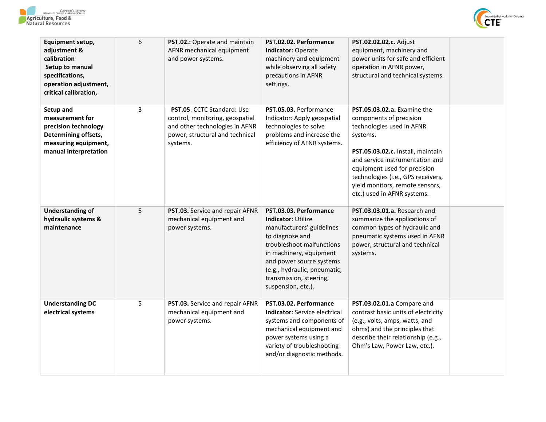



| Equipment setup,<br>adjustment &<br>calibration<br>Setup to manual<br>specifications,<br>operation adjustment,<br>critical calibration, | 6 | PST.02.: Operate and maintain<br>AFNR mechanical equipment<br>and power systems.                                                                      | PST.02.02. Performance<br>Indicator: Operate<br>machinery and equipment<br>while observing all safety<br>precautions in AFNR<br>settings.                                                                                                                                | PST.02.02.02.c. Adjust<br>equipment, machinery and<br>power units for safe and efficient<br>operation in AFNR power,<br>structural and technical systems.                                                                                                                                                              |  |
|-----------------------------------------------------------------------------------------------------------------------------------------|---|-------------------------------------------------------------------------------------------------------------------------------------------------------|--------------------------------------------------------------------------------------------------------------------------------------------------------------------------------------------------------------------------------------------------------------------------|------------------------------------------------------------------------------------------------------------------------------------------------------------------------------------------------------------------------------------------------------------------------------------------------------------------------|--|
| Setup and<br>measurement for<br>precision technology<br>Determining offsets,<br>measuring equipment,<br>manual interpretation           | 3 | <b>PST.05. CCTC Standard: Use</b><br>control, monitoring, geospatial<br>and other technologies in AFNR<br>power, structural and technical<br>systems. | PST.05.03. Performance<br>Indicator: Apply geospatial<br>technologies to solve<br>problems and increase the<br>efficiency of AFNR systems.                                                                                                                               | <b>PST.05.03.02.a.</b> Examine the<br>components of precision<br>technologies used in AFNR<br>systems.<br>PST.05.03.02.c. Install, maintain<br>and service instrumentation and<br>equipment used for precision<br>technologies (i.e., GPS receivers,<br>yield monitors, remote sensors,<br>etc.) used in AFNR systems. |  |
| <b>Understanding of</b><br>hydraulic systems &<br>maintenance                                                                           | 5 | PST.03. Service and repair AFNR<br>mechanical equipment and<br>power systems.                                                                         | PST.03.03. Performance<br><b>Indicator: Utilize</b><br>manufacturers' guidelines<br>to diagnose and<br>troubleshoot malfunctions<br>in machinery, equipment<br>and power source systems<br>(e.g., hydraulic, pneumatic,<br>transmission, steering,<br>suspension, etc.). | PST.03.03.01.a. Research and<br>summarize the applications of<br>common types of hydraulic and<br>pneumatic systems used in AFNR<br>power, structural and technical<br>systems.                                                                                                                                        |  |
| <b>Understanding DC</b><br>electrical systems                                                                                           | 5 | PST.03. Service and repair AFNR<br>mechanical equipment and<br>power systems.                                                                         | PST.03.02. Performance<br><b>Indicator:</b> Service electrical<br>systems and components of<br>mechanical equipment and<br>power systems using a<br>variety of troubleshooting<br>and/or diagnostic methods.                                                             | PST.03.02.01.a Compare and<br>contrast basic units of electricity<br>(e.g., volts, amps, watts, and<br>ohms) and the principles that<br>describe their relationship (e.g.,<br>Ohm's Law, Power Law, etc.).                                                                                                             |  |